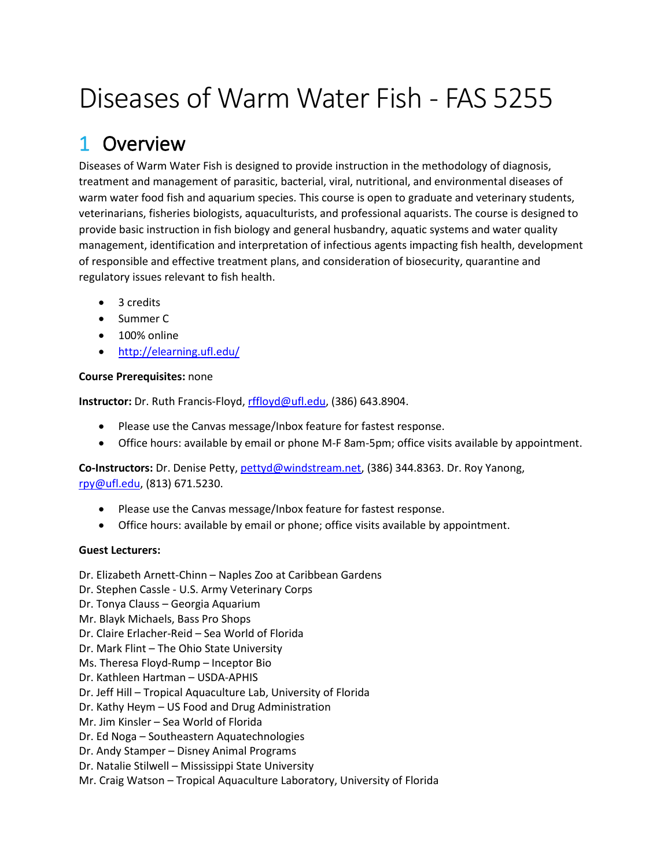# Diseases of Warm Water Fish - FAS 5255

## 1 Overview

Diseases of Warm Water Fish is designed to provide instruction in the methodology of diagnosis, treatment and management of parasitic, bacterial, viral, nutritional, and environmental diseases of warm water food fish and aquarium species. This course is open to graduate and veterinary students, veterinarians, fisheries biologists, aquaculturists, and professional aquarists. The course is designed to provide basic instruction in fish biology and general husbandry, aquatic systems and water quality management, identification and interpretation of infectious agents impacting fish health, development of responsible and effective treatment plans, and consideration of biosecurity, quarantine and regulatory issues relevant to fish health.

- 3 credits
- Summer C
- 100% online
- <http://elearning.ufl.edu/>

### **Course Prerequisites:** none

**Instructor:** Dr. Ruth Francis-Floyd, [rffloyd@ufl.edu,](mailto:rffloyd@ufl.edu) (386) 643.8904.

- Please use the Canvas message/Inbox feature for fastest response.
- Office hours: available by email or phone M-F 8am-5pm; office visits available by appointment.

**Co-Instructors:** Dr. Denise Petty[, pettyd@windstream.net,](mailto:pettyd@windstream.net) (386) 344.8363. Dr. Roy Yanong, [rpy@ufl.edu,](mailto:rpy@ufl.edu) (813) 671.5230.

- Please use the Canvas message/Inbox feature for fastest response.
- Office hours: available by email or phone; office visits available by appointment.

### **Guest Lecturers:**

Dr. Elizabeth Arnett-Chinn – Naples Zoo at Caribbean Gardens Dr. Stephen Cassle - U.S. Army Veterinary Corps Dr. Tonya Clauss – Georgia Aquarium Mr. Blayk Michaels, Bass Pro Shops Dr. Claire Erlacher-Reid – Sea World of Florida Dr. Mark Flint – The Ohio State University Ms. Theresa Floyd-Rump – Inceptor Bio Dr. Kathleen Hartman – USDA-APHIS Dr. Jeff Hill – Tropical Aquaculture Lab, University of Florida Dr. Kathy Heym – US Food and Drug Administration Mr. Jim Kinsler – Sea World of Florida Dr. Ed Noga – Southeastern Aquatechnologies Dr. Andy Stamper – Disney Animal Programs Dr. Natalie Stilwell – Mississippi State University

Mr. Craig Watson – Tropical Aquaculture Laboratory, University of Florida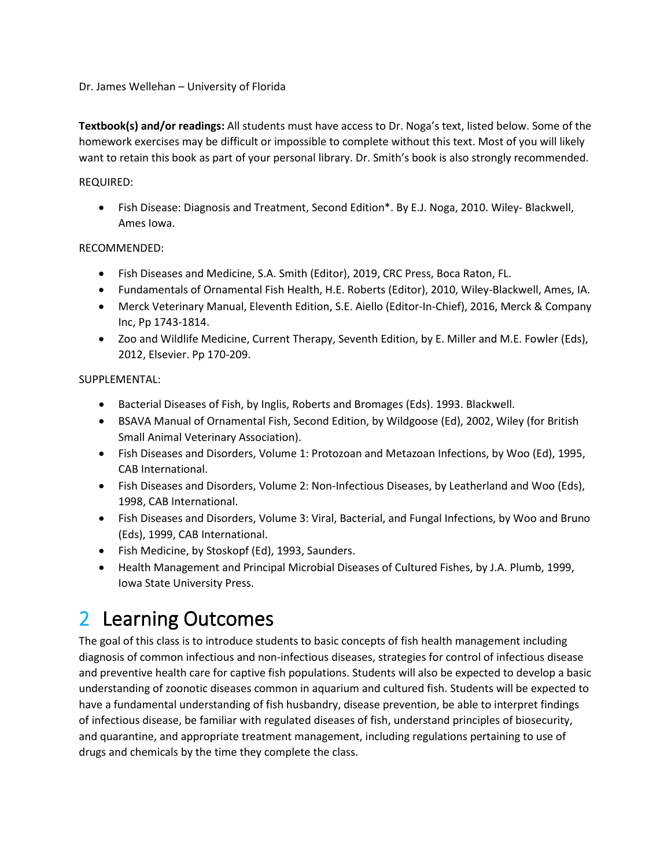Dr. James Wellehan – University of Florida

**Textbook(s) and/or readings:** All students must have access to Dr. Noga's text, listed below. Some of the homework exercises may be difficult or impossible to complete without this text. Most of you will likely want to retain this book as part of your personal library. Dr. Smith's book is also strongly recommended.

#### REQUIRED:

• Fish Disease: Diagnosis and Treatment, Second Edition\*. By E.J. Noga, 2010. Wiley- Blackwell, Ames Iowa.

#### RECOMMENDED:

- Fish Diseases and Medicine, S.A. Smith (Editor), 2019, CRC Press, Boca Raton, FL.
- Fundamentals of Ornamental Fish Health, H.E. Roberts (Editor), 2010, Wiley-Blackwell, Ames, IA.
- Merck Veterinary Manual, Eleventh Edition, S.E. Aiello (Editor-In-Chief), 2016, Merck & Company Inc, Pp 1743-1814.
- Zoo and Wildlife Medicine, Current Therapy, Seventh Edition, by E. Miller and M.E. Fowler (Eds), 2012, Elsevier. Pp 170-209.

#### SUPPLEMENTAL:

- Bacterial Diseases of Fish, by Inglis, Roberts and Bromages (Eds). 1993. Blackwell.
- BSAVA Manual of Ornamental Fish, Second Edition, by Wildgoose (Ed), 2002, Wiley (for British Small Animal Veterinary Association).
- Fish Diseases and Disorders, Volume 1: Protozoan and Metazoan Infections, by Woo (Ed), 1995, CAB International.
- Fish Diseases and Disorders, Volume 2: Non-Infectious Diseases, by Leatherland and Woo (Eds), 1998, CAB International.
- Fish Diseases and Disorders, Volume 3: Viral, Bacterial, and Fungal Infections, by Woo and Bruno (Eds), 1999, CAB International.
- Fish Medicine, by Stoskopf (Ed), 1993, Saunders.
- Health Management and Principal Microbial Diseases of Cultured Fishes, by J.A. Plumb, 1999, Iowa State University Press.

## 2 Learning Outcomes

The goal of this class is to introduce students to basic concepts of fish health management including diagnosis of common infectious and non-infectious diseases, strategies for control of infectious disease and preventive health care for captive fish populations. Students will also be expected to develop a basic understanding of zoonotic diseases common in aquarium and cultured fish. Students will be expected to have a fundamental understanding of fish husbandry, disease prevention, be able to interpret findings of infectious disease, be familiar with regulated diseases of fish, understand principles of biosecurity, and quarantine, and appropriate treatment management, including regulations pertaining to use of drugs and chemicals by the time they complete the class.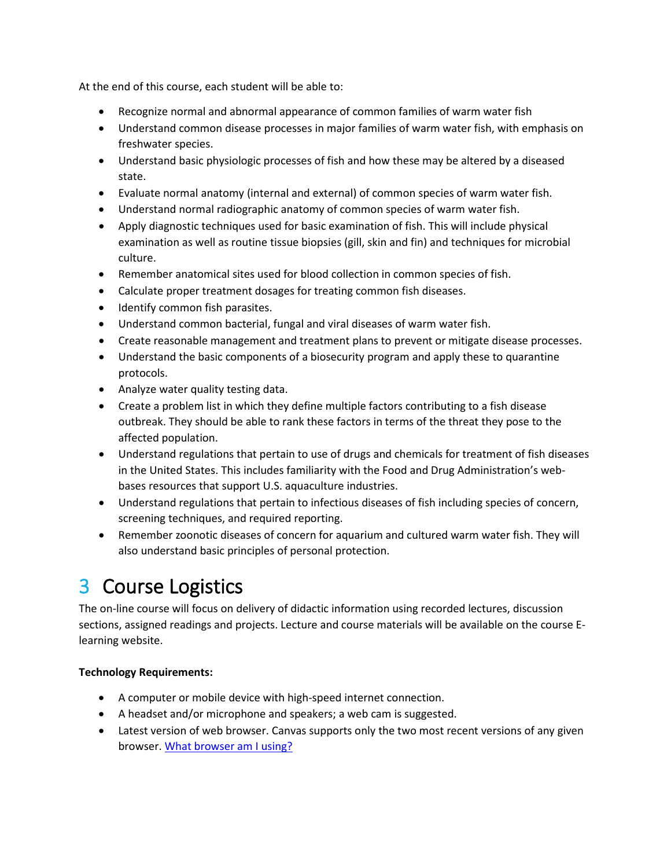At the end of this course, each student will be able to:

- Recognize normal and abnormal appearance of common families of warm water fish
- Understand common disease processes in major families of warm water fish, with emphasis on freshwater species.
- Understand basic physiologic processes of fish and how these may be altered by a diseased state.
- Evaluate normal anatomy (internal and external) of common species of warm water fish.
- Understand normal radiographic anatomy of common species of warm water fish.
- Apply diagnostic techniques used for basic examination of fish. This will include physical examination as well as routine tissue biopsies (gill, skin and fin) and techniques for microbial culture.
- Remember anatomical sites used for blood collection in common species of fish.
- Calculate proper treatment dosages for treating common fish diseases.
- Identify common fish parasites.
- Understand common bacterial, fungal and viral diseases of warm water fish.
- Create reasonable management and treatment plans to prevent or mitigate disease processes.
- Understand the basic components of a biosecurity program and apply these to quarantine protocols.
- Analyze water quality testing data.
- Create a problem list in which they define multiple factors contributing to a fish disease outbreak. They should be able to rank these factors in terms of the threat they pose to the affected population.
- Understand regulations that pertain to use of drugs and chemicals for treatment of fish diseases in the United States. This includes familiarity with the Food and Drug Administration's webbases resources that support U.S. aquaculture industries.
- Understand regulations that pertain to infectious diseases of fish including species of concern, screening techniques, and required reporting.
- Remember zoonotic diseases of concern for aquarium and cultured warm water fish. They will also understand basic principles of personal protection.

## 3 Course Logistics

The on-line course will focus on delivery of didactic information using recorded lectures, discussion sections, assigned readings and projects. Lecture and course materials will be available on the course Elearning website.

### **Technology Requirements:**

- A computer or mobile device with high-speed internet connection.
- A headset and/or microphone and speakers; a web cam is suggested.
- Latest version of web browser. Canvas supports only the two most recent versions of any given browser. [What browser am I using?](http://whatbrowser.org/)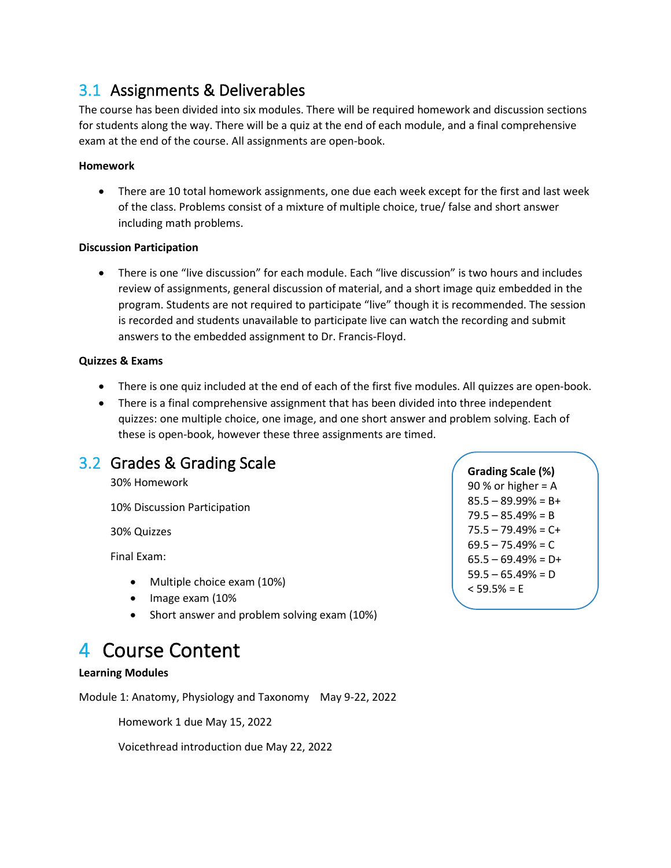### 3.1 Assignments & Deliverables

The course has been divided into six modules. There will be required homework and discussion sections for students along the way. There will be a quiz at the end of each module, and a final comprehensive exam at the end of the course. All assignments are open-book.

#### **Homework**

• There are 10 total homework assignments, one due each week except for the first and last week of the class. Problems consist of a mixture of multiple choice, true/ false and short answer including math problems.

#### **Discussion Participation**

• There is one "live discussion" for each module. Each "live discussion" is two hours and includes review of assignments, general discussion of material, and a short image quiz embedded in the program. Students are not required to participate "live" though it is recommended. The session is recorded and students unavailable to participate live can watch the recording and submit answers to the embedded assignment to Dr. Francis-Floyd.

#### **Quizzes & Exams**

- There is one quiz included at the end of each of the first five modules. All quizzes are open-book.
- There is a final comprehensive assignment that has been divided into three independent quizzes: one multiple choice, one image, and one short answer and problem solving. Each of these is open-book, however these three assignments are timed.

### 3.2 Grades & Grading Scale

30% Homework

10% Discussion Participation

30% Quizzes

Final Exam:

- Multiple choice exam (10%)
- Image exam (10%
- Short answer and problem solving exam (10%)

## 4 Course Content

### **Learning Modules**

Module 1: Anatomy, Physiology and Taxonomy May 9-22, 2022

Homework 1 due May 15, 2022

Voicethread introduction due May 22, 2022

**Grading Scale (%)** 90 % or higher  $= A$  $85.5 - 89.99% = B +$  $79.5 - 85.49% = B$  $75.5 - 79.49\% = C +$  $69.5 - 75.49% = C$  $65.5 - 69.49\% = D+$  $59.5 - 65.49\% = D$  $<$  59.5% = E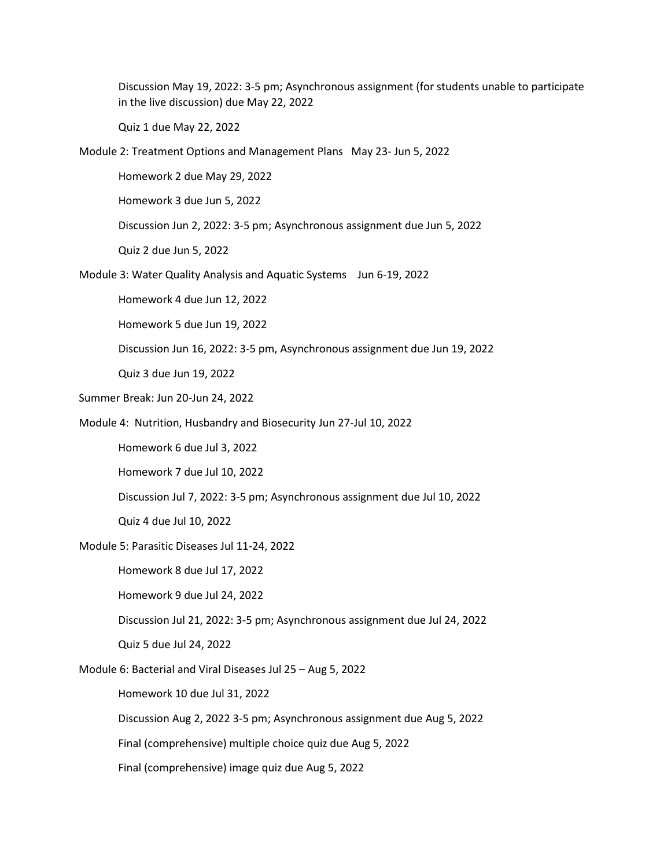Discussion May 19, 2022: 3-5 pm; Asynchronous assignment (for students unable to participate in the live discussion) due May 22, 2022

Quiz 1 due May 22, 2022

Module 2: Treatment Options and Management Plans May 23- Jun 5, 2022

Homework 2 due May 29, 2022

Homework 3 due Jun 5, 2022

Discussion Jun 2, 2022: 3-5 pm; Asynchronous assignment due Jun 5, 2022

Quiz 2 due Jun 5, 2022

Module 3: Water Quality Analysis and Aquatic Systems Jun 6-19, 2022

Homework 4 due Jun 12, 2022

Homework 5 due Jun 19, 2022

Discussion Jun 16, 2022: 3-5 pm, Asynchronous assignment due Jun 19, 2022

Quiz 3 due Jun 19, 2022

- Summer Break: Jun 20-Jun 24, 2022
- Module 4: Nutrition, Husbandry and Biosecurity Jun 27-Jul 10, 2022

Homework 6 due Jul 3, 2022

Homework 7 due Jul 10, 2022

Discussion Jul 7, 2022: 3-5 pm; Asynchronous assignment due Jul 10, 2022

Quiz 4 due Jul 10, 2022

Module 5: Parasitic Diseases Jul 11-24, 2022

Homework 8 due Jul 17, 2022

Homework 9 due Jul 24, 2022

Discussion Jul 21, 2022: 3-5 pm; Asynchronous assignment due Jul 24, 2022

Quiz 5 due Jul 24, 2022

Module 6: Bacterial and Viral Diseases Jul 25 – Aug 5, 2022

Homework 10 due Jul 31, 2022

Discussion Aug 2, 2022 3-5 pm; Asynchronous assignment due Aug 5, 2022

Final (comprehensive) multiple choice quiz due Aug 5, 2022

Final (comprehensive) image quiz due Aug 5, 2022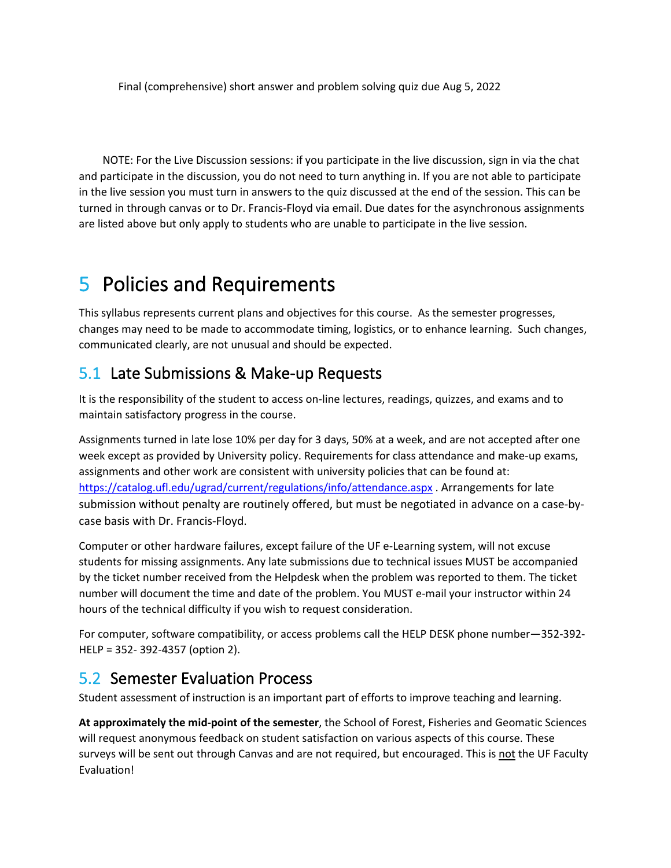Final (comprehensive) short answer and problem solving quiz due Aug 5, 2022

NOTE: For the Live Discussion sessions: if you participate in the live discussion, sign in via the chat and participate in the discussion, you do not need to turn anything in. If you are not able to participate in the live session you must turn in answers to the quiz discussed at the end of the session. This can be turned in through canvas or to Dr. Francis-Floyd via email. Due dates for the asynchronous assignments are listed above but only apply to students who are unable to participate in the live session.

## 5 Policies and Requirements

This syllabus represents current plans and objectives for this course. As the semester progresses, changes may need to be made to accommodate timing, logistics, or to enhance learning. Such changes, communicated clearly, are not unusual and should be expected.

### 5.1 Late Submissions & Make-up Requests

It is the responsibility of the student to access on-line lectures, readings, quizzes, and exams and to maintain satisfactory progress in the course.

Assignments turned in late lose 10% per day for 3 days, 50% at a week, and are not accepted after one week except as provided by University policy. Requirements for class attendance and make-up exams, assignments and other work are consistent with university policies that can be found at: <https://catalog.ufl.edu/ugrad/current/regulations/info/attendance.aspx> . Arrangements for late submission without penalty are routinely offered, but must be negotiated in advance on a case-bycase basis with Dr. Francis-Floyd.

Computer or other hardware failures, except failure of the UF e-Learning system, will not excuse students for missing assignments. Any late submissions due to technical issues MUST be accompanied by the ticket number received from the Helpdesk when the problem was reported to them. The ticket number will document the time and date of the problem. You MUST e-mail your instructor within 24 hours of the technical difficulty if you wish to request consideration.

For computer, software compatibility, or access problems call the HELP DESK phone number—352-392- HELP = 352- 392-4357 (option 2).

### 5.2 Semester Evaluation Process

Student assessment of instruction is an important part of efforts to improve teaching and learning.

**At approximately the mid-point of the semester**, the School of Forest, Fisheries and Geomatic Sciences will request anonymous feedback on student satisfaction on various aspects of this course. These surveys will be sent out through Canvas and are not required, but encouraged. This is not the UF Faculty Evaluation!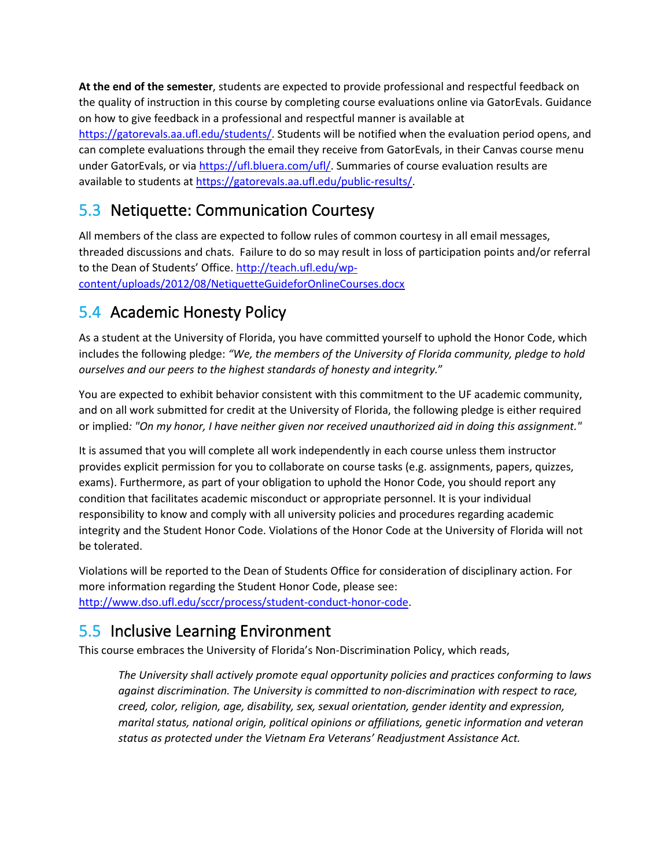**At the end of the semester**, students are expected to provide professional and respectful feedback on the quality of instruction in this course by completing course evaluations online via GatorEvals. Guidance on how to give feedback in a professional and respectful manner is available at [https://gatorevals.aa.ufl.edu/students/.](https://gatorevals.aa.ufl.edu/students/) Students will be notified when the evaluation period opens, and can complete evaluations through the email they receive from GatorEvals, in their Canvas course menu under GatorEvals, or vi[a https://ufl.bluera.com/ufl/.](https://ufl.bluera.com/ufl/) Summaries of course evaluation results are available to students at [https://gatorevals.aa.ufl.edu/public-results/.](https://gatorevals.aa.ufl.edu/public-results/)

### 5.3 Netiquette: Communication Courtesy

All members of the class are expected to follow rules of common courtesy in all email messages, threaded discussions and chats. Failure to do so may result in loss of participation points and/or referral to the Dean of Students' Office[. http://teach.ufl.edu/wp](http://teach.ufl.edu/wp-content/uploads/2012/08/NetiquetteGuideforOnlineCourses.docx)[content/uploads/2012/08/NetiquetteGuideforOnlineCourses.docx](http://teach.ufl.edu/wp-content/uploads/2012/08/NetiquetteGuideforOnlineCourses.docx) 

## 5.4 Academic Honesty Policy

As a student at the University of Florida, you have committed yourself to uphold the Honor Code, which includes the following pledge: *"We, the members of the University of Florida community, pledge to hold ourselves and our peers to the highest standards of honesty and integrity.*"

You are expected to exhibit behavior consistent with this commitment to the UF academic community, and on all work submitted for credit at the University of Florida, the following pledge is either required or implied*: "On my honor, I have neither given nor received unauthorized aid in doing this assignment."*

It is assumed that you will complete all work independently in each course unless them instructor provides explicit permission for you to collaborate on course tasks (e.g. assignments, papers, quizzes, exams). Furthermore, as part of your obligation to uphold the Honor Code, you should report any condition that facilitates academic misconduct or appropriate personnel. It is your individual responsibility to know and comply with all university policies and procedures regarding academic integrity and the Student Honor Code. Violations of the Honor Code at the University of Florida will not be tolerated.

Violations will be reported to the Dean of Students Office for consideration of disciplinary action. For more information regarding the Student Honor Code, please see: [http://www.dso.ufl.edu/sccr/process/student-conduct-honor-code.](http://www.dso.ufl.edu/sccr/process/student-conduct-honor-code)

## 5.5 Inclusive Learning Environment

This course embraces the University of Florida's Non-Discrimination Policy, which reads,

*The University shall actively promote equal opportunity policies and practices conforming to laws against discrimination. The University is committed to non-discrimination with respect to race, creed, color, religion, age, disability, sex, sexual orientation, gender identity and expression, marital status, national origin, political opinions or affiliations, genetic information and veteran status as protected under the Vietnam Era Veterans' Readjustment Assistance Act.*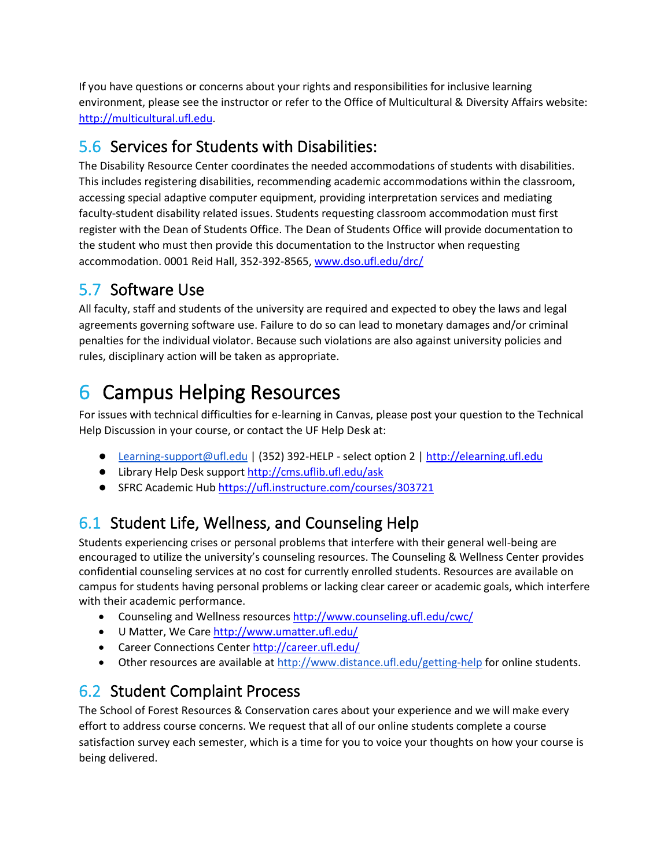If you have questions or concerns about your rights and responsibilities for inclusive learning environment, please see the instructor or refer to the Office of Multicultural & Diversity Affairs website: [http://multicultural.ufl.edu.](http://multicultural.ufl.edu/)

## 5.6 Services for Students with Disabilities:

The Disability Resource Center coordinates the needed accommodations of students with disabilities. This includes registering disabilities, recommending academic accommodations within the classroom, accessing special adaptive computer equipment, providing interpretation services and mediating faculty-student disability related issues. Students requesting classroom accommodation must first register with the Dean of Students Office. The Dean of Students Office will provide documentation to the student who must then provide this documentation to the Instructor when requesting accommodation. 0001 Reid Hall, 352-392-8565, [www.dso.ufl.edu/drc/](http://www.dso.ufl.edu/drc/) 

## 5.7 Software Use

All faculty, staff and students of the university are required and expected to obey the laws and legal agreements governing software use. Failure to do so can lead to monetary damages and/or criminal penalties for the individual violator. Because such violations are also against university policies and rules, disciplinary action will be taken as appropriate.

## 6 Campus Helping Resources

For issues with technical difficulties for e-learning in Canvas, please post your question to the Technical Help Discussion in your course, or contact the UF Help Desk at:

- [Learning-support@ufl.edu](mailto:Learning-support@ufl.edu) | (352) 392-HELP select option 2 | [http://elearning.ufl.edu](http://elearning.ufl.edu/)
- Library Help Desk support<http://cms.uflib.ufl.edu/ask>
- SFRC Academic Hub https://ufl.instructure.com/courses/303721

## 6.1 Student Life, Wellness, and Counseling Help

Students experiencing crises or personal problems that interfere with their general well-being are encouraged to utilize the university's counseling resources. The Counseling & Wellness Center provides confidential counseling services at no cost for currently enrolled students. Resources are available on campus for students having personal problems or lacking clear career or academic goals, which interfere with their academic performance.

- Counseling and Wellness resource[s http://www.counseling.ufl.edu/cwc/](http://www.counseling.ufl.edu/cwc/)
- U Matter, We Care http://www.umatter.ufl.edu/
- Career Connections Center http://career.ufl.edu/
- Other resources are available at<http://www.distance.ufl.edu/getting-help> for online students.

## 6.2 Student Complaint Process

The School of Forest Resources & Conservation cares about your experience and we will make every effort to address course concerns. We request that all of our online students complete a course satisfaction survey each semester, which is a time for you to voice your thoughts on how your course is being delivered.